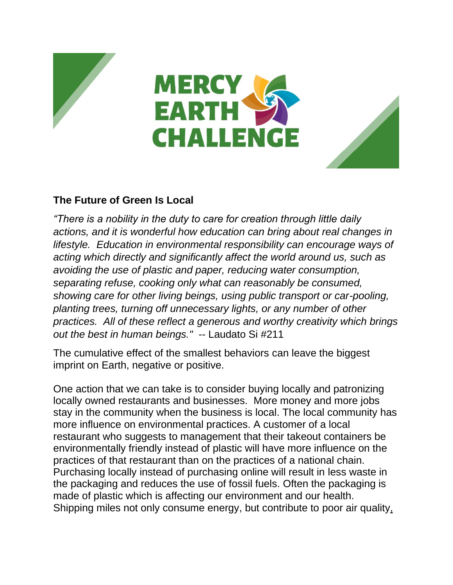





## **The Future of Green Is Local**

*"There is a nobility in the duty to care for creation through little daily actions, and it is wonderful how education can bring about real changes in lifestyle. Education in environmental responsibility can encourage ways of acting which directly and significantly affect the world around us, such as avoiding the use of plastic and paper, reducing water consumption, separating refuse, cooking only what can reasonably be consumed, showing care for other living beings, using public transport or car-pooling, planting trees, turning off unnecessary lights, or any number of other practices. All of these reflect a generous and worthy creativity which brings out the best in human beings."* -- Laudato Si #211

The cumulative effect of the smallest behaviors can leave the biggest imprint on Earth, negative or positive.

One action that we can take is to consider buying locally and patronizing locally owned restaurants and businesses. More money and more jobs stay in the community when the business is local. The local community has more influence on environmental practices. A customer of a local restaurant who suggests to management that their takeout containers be environmentally friendly instead of plastic will have more influence on the practices of that restaurant than on the practices of a national chain. Purchasing locally instead of purchasing online will result in less waste in the packaging and reduces the use of fossil fuels. Often the packaging is made of plastic which is affecting our environment and our health. Shipping miles not only consume energy, but contribute to poor air [quality,](https://food-hub.org/files/resources/Food%20Miles.pdf)